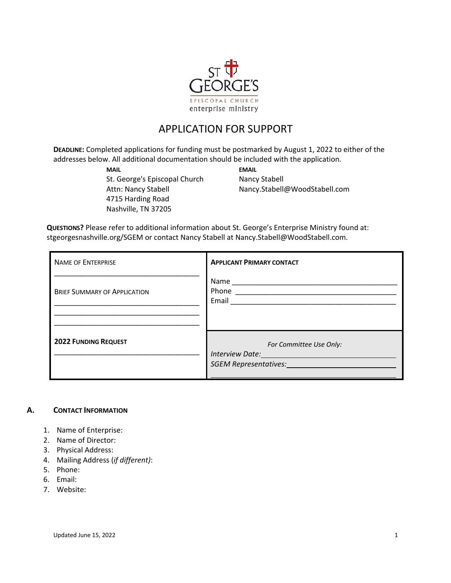

# APPLICATION FOR SUPPORT

**DEADLINE:** Completed applications for funding must be postmarked by August 1, 2022 to either of the addresses below. All additional documentation should be included with the application.

**MAIL EMAIL** St. George's Episcopal Church Nancy Stabell 4715 Harding Road Nashville, TN 37205

Attn: Nancy Stabell Nancy.Stabell@WoodStabell.com

**QUESTIONS?** Please refer to additional information about St. George's Enterprise Ministry found at: stgeorgesnashville.org/SGEM or contact Nancy Stabell at Nancy.Stabell@WoodStabell.com.

| <b>NAME OF ENTERPRISE</b>           | <b>APPLICANT PRIMARY CONTACT</b>                                                                                                                                   |
|-------------------------------------|--------------------------------------------------------------------------------------------------------------------------------------------------------------------|
| <b>BRIEF SUMMARY OF APPLICATION</b> | Name<br>Email                                                                                                                                                      |
| <b>2022 FUNDING REQUEST</b>         | For Committee Use Only:<br>Interview Date: 1999 March 1999 March 1999 March 1999 March 1999 March 1999 March 1999 March 1999 March 1999 M<br>SGEM Representatives: |

### **A. CONTACT INFORMATION**

- 1. Name of Enterprise:
- 2. Name of Director:
- 3. Physical Address:
- 4. Mailing Address (*if different)*:
- 5. Phone:
- 6. Email:
- 7. Website: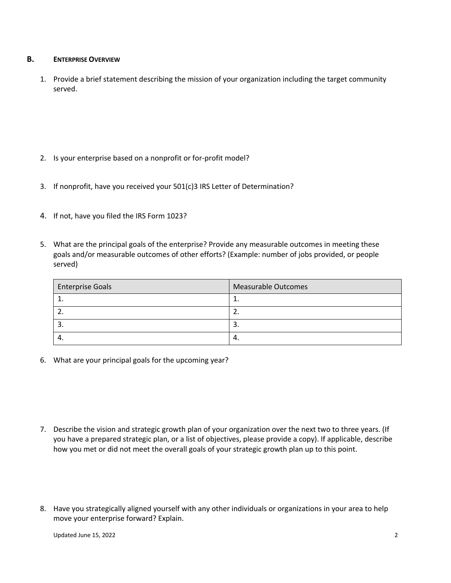### **B. ENTERPRISE OVERVIEW**

1. Provide a brief statement describing the mission of your organization including the target community served.

- 2. Is your enterprise based on a nonprofit or for-profit model?
- 3. If nonprofit, have you received your 501(c)3 IRS Letter of Determination?
- 4. If not, have you filed the IRS Form 1023?
- 5. What are the principal goals of the enterprise? Provide any measurable outcomes in meeting these goals and/or measurable outcomes of other efforts? (Example: number of jobs provided, or people served)

| <b>Enterprise Goals</b> | <b>Measurable Outcomes</b> |
|-------------------------|----------------------------|
|                         | <b>.</b>                   |
|                         | <u>.</u>                   |
|                         | э.                         |
| т.                      | 4.                         |

6. What are your principal goals for the upcoming year?

- 7. Describe the vision and strategic growth plan of your organization over the next two to three years. (If you have a prepared strategic plan, or a list of objectives, please provide a copy). If applicable, describe how you met or did not meet the overall goals of your strategic growth plan up to this point.
- 8. Have you strategically aligned yourself with any other individuals or organizations in your area to help move your enterprise forward? Explain.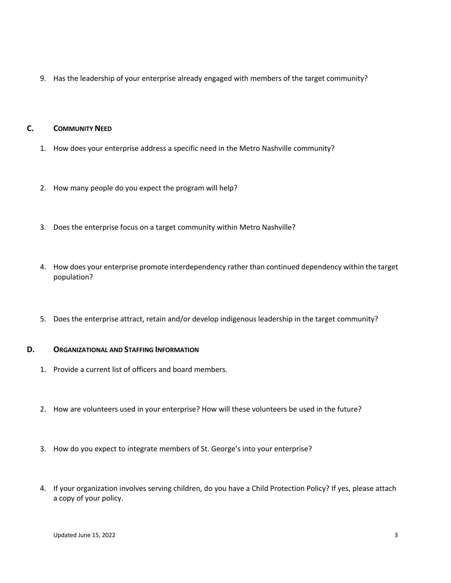9. Has the leadership of your enterprise already engaged with members of the target community?

# **C. COMMUNITY NEED**

- 1. How does your enterprise address a specific need in the Metro Nashville community?
- 2. How many people do you expect the program will help?
- 3. Does the enterprise focus on a target community within Metro Nashville?
- 4. How does your enterprise promote interdependency rather than continued dependency within the target population?
- 5. Does the enterprise attract, retain and/or develop indigenous leadership in the target community?

# **D. ORGANIZATIONAL AND STAFFING INFORMATION**

- 1. Provide a current list of officers and board members.
- 2. How are volunteers used in your enterprise? How will these volunteers be used in the future?
- 3. How do you expect to integrate members of St. George's into your enterprise?
- 4. If your organization involves serving children, do you have a Child Protection Policy? If yes, please attach a copy of your policy.